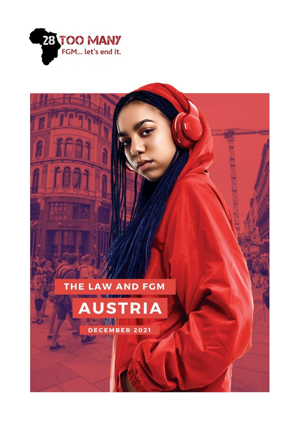

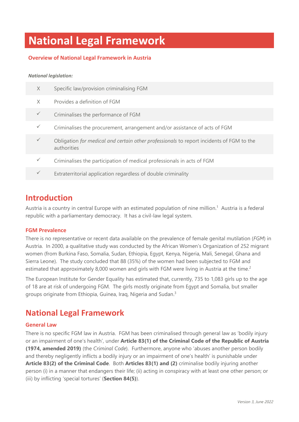# **National Legal Framework**

### **Overview of National Legal Framework in Austria**

#### *National legislation:*

| X | Specific law/provision criminalising FGM                                                                |
|---|---------------------------------------------------------------------------------------------------------|
| X | Provides a definition of FGM                                                                            |
|   | Criminalises the performance of FGM                                                                     |
|   | Criminalises the procurement, arrangement and/or assistance of acts of FGM                              |
|   | Obligation for medical and certain other professionals to report incidents of FGM to the<br>authorities |
|   | Criminalises the participation of medical professionals in acts of FGM                                  |
|   | Extraterritorial application regardless of double criminality                                           |

### **Introduction**

Austria is a country in central Europe with an estimated population of nine million.<sup>1</sup> Austria is a federal republic with a parliamentary democracy. It has a civil-law legal system.

### **FGM Prevalence**

There is no representative or recent data available on the prevalence of female genital mutilation (*FGM*) in Austria. In 2000, a qualitative study was conducted by the African Women's Organization of 252 migrant women (from Burkina Faso, Somalia, Sudan, Ethiopia, Egypt, Kenya, Nigeria, Mali, Senegal, Ghana and Sierra Leone). The study concluded that 88 (35%) of the women had been subjected to FGM and estimated that approximately 8,000 women and girls with FGM were living in Austria at the time.<sup>2</sup>

The European Institute for Gender Equality has estimated that, currently, 735 to 1,083 girls up to the age of 18 are at risk of undergoing FGM. The girls mostly originate from Egypt and Somalia, but smaller groups originate from Ethiopia, Guinea, Iraq, Nigeria and Sudan.<sup>3</sup>

### **National Legal Framework**

### **General Law**

There is no specific FGM law in Austria. FGM has been criminalised through general law as 'bodily injury or an impairment of one's health', under **Article 83(1) of the Criminal Code of the Republic of Austria (1974, amended 2019)** (the *Criminal Code*). Furthermore, anyone who 'abuses another person bodily and thereby negligently inflicts a bodily injury or an impairment of one's health' is punishable under **Article 83(2) of the Criminal Code**. Both **Articles 83(1) and (2)** criminalise bodily injuring another person (i) in a manner that endangers their life; (ii) acting in conspiracy with at least one other person; or (iii) by inflicting 'special tortures' (**Section 84(5)**).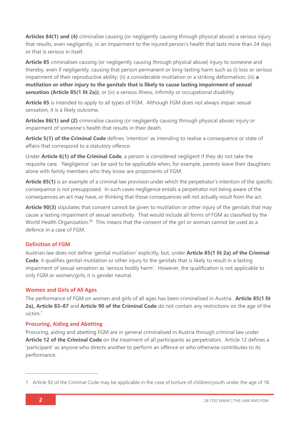**Articles 84(1) and (4)** criminalise causing (or negligently causing through physical abuse) a serious injury that results, even negligently, in an impairment to the injured person's health that lasts more than 24 days or that is serious in itself.

**Article 85** criminalises causing (or negligently causing through physical abuse) injury to someone and thereby, even if negligently, causing that person permanent or long-lasting harm such as (i) loss or serious impairment of their reproductive ability; (ii) a considerable mutilation or a striking deformation; (iii) **a mutilation or other injury to the genitals that is likely to cause lasting impairment of sexual**  sensation (Article 85(1 lit 2a)); or (iv) a serious illness, infirmity or occupational disability.

**Article 85** is intended to apply to all types of FGM. Although FGM does not always impair sexual sensation, it is a likely outcome.

**Articles 86(1) and (2)** criminalise causing (or negligently causing through physical abuse) injury or impairment of someone's health that results in their death.

**Article 5(1) of the Criminal Code** defines 'intention' as intending to realise a consequence or state of affairs that correspond to a statutory offence.

Under **Article 6(1) of the Criminal Code**, a person is considered negligent if they do not take the requisite care. 'Negligence' can be said to be applicable when, for example, parents leave their daughters alone with family members who they know are proponents of FGM.

**Article 85(1)** is an example of a criminal law provision under which the perpetrator's intention of the specific consequence is not presupposed. In such cases negligence entails a perpetrator not being aware of the consequences an act may have, or thinking that those consequences will not actually result from the act.

**Article 90(3)** stipulates that consent cannot be given to mutilation or other injury of the genitals that may cause a lasting impairment of sexual sensitivity. That would include all forms of FGM as classified by the World Health Organization.<sup>45</sup> This means that the consent of the girl or woman cannot be used as a defence in a case of FGM.

### **Definition of FGM**

Austrian law does not define 'genital mutilation' explicitly, but, under **Article 85(1 lit 2a) of the Criminal Code**, it qualifies genital mutilation or other injury to the genitals that is likely to result in a lasting impairment of sexual sensation as 'serious bodily harm'. However, the qualification is not applicable to only FGM or women/girls; it is gender neutral.

### **Women and Girls of All Ages**

The performance of FGM on women and girls of all ages has been criminalised in Austria. **Article 85(1 lit 2a), Article 83–87** and **Article 90 of the Criminal Code** do not contain any restrictions on the age of the victim.<sup>1</sup>

### **Procuring, Aiding and Abetting**

Procuring, aiding and abetting FGM are in general criminalised in Austria through criminal law under **Article 12 of the Criminal Code** on the treatment of all participants as perpetrators. Article 12 defines a 'participant' as anyone who directs another to perform an offence or who otherwise contributes to its performance.

<sup>1</sup> Article 92 of the Criminal Code may be applicable in the case of torture of children/youth under the age of 18.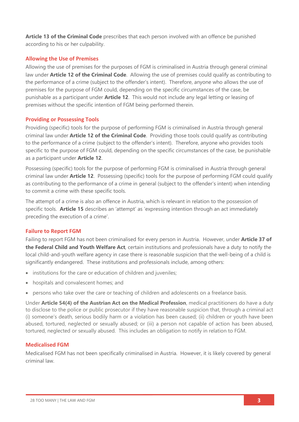**Article 13 of the Criminal Code** prescribes that each person involved with an offence be punished according to his or her culpability.

### **Allowing the Use of Premises**

Allowing the use of premises for the purposes of FGM is criminalised in Austria through general criminal law under **Article 12 of the Criminal Code**. Allowing the use of premises could qualify as contributing to the performance of a crime (subject to the offender's intent). Therefore, anyone who allows the use of premises for the purpose of FGM could, depending on the specific circumstances of the case, be punishable as a participant under **Article 12**. This would not include any legal letting or leasing of premises without the specific intention of FGM being performed therein.

### **Providing or Possessing Tools**

Providing (specific) tools for the purpose of performing FGM is criminalised in Austria through general criminal law under **Article 12 of the Criminal Code**. Providing those tools could qualify as contributing to the performance of a crime (subject to the offender's intent). Therefore, anyone who provides tools specific to the purpose of FGM could, depending on the specific circumstances of the case, be punishable as a participant under **Article 12**.

Possessing (specific) tools for the purpose of performing FGM is criminalised in Austria through general criminal law under **Article 12**. Possessing (specific) tools for the purpose of performing FGM could qualify as contributing to the performance of a crime in general (subject to the offender's intent) when intending to commit a crime with these specific tools.

The attempt of a crime is also an offence in Austria, which is relevant in relation to the possession of specific tools. **Article 15** describes an 'attempt' as 'expressing intention through an act immediately preceding the execution of a crime'.

### **Failure to Report FGM**

Failing to report FGM has not been criminalised for every person in Austria. However, under **Article 37 of the Federal Child and Youth Welfare Act**, certain institutions and professionals have a duty to notify the local child-and-youth welfare agency in case there is reasonable suspicion that the well-being of a child is significantly endangered. These institutions and professionals include, among others:

- institutions for the care or education of children and juveniles;
- hospitals and convalescent homes; and
- persons who take over the care or teaching of children and adolescents on a freelance basis.

Under **Article 54(4) of the Austrian Act on the Medical Profession**, medical practitioners do have a duty to disclose to the police or public prosecutor if they have reasonable suspicion that, through a criminal act (i) someone's death, serious bodily harm or a violation has been caused; (ii) children or youth have been abused, tortured, neglected or sexually abused; or (iii) a person not capable of action has been abused, tortured, neglected or sexually abused. This includes an obligation to notify in relation to FGM.

### **Medicalised FGM**

Medicalised FGM has not been specifically criminalised in Austria. However, it is likely covered by general criminal law.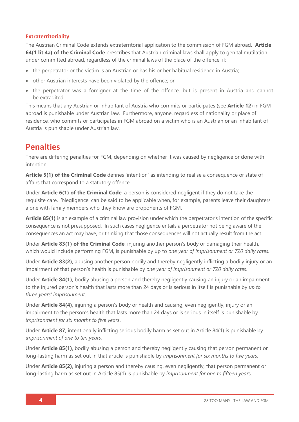### **Extraterritoriality**

The Austrian Criminal Code extends extraterritorial application to the commission of FGM abroad. **Article 64(1 lit 4a) of the Criminal Code** prescribes that Austrian criminal laws shall apply to genital mutilation under committed abroad, regardless of the criminal laws of the place of the offence, if:

- the perpetrator or the victim is an Austrian or has his or her habitual residence in Austria;
- other Austrian interests have been violated by the offence; or
- the perpetrator was a foreigner at the time of the offence, but is present in Austria and cannot be extradited.

This means that any Austrian or inhabitant of Austria who commits or participates (see **Article 12**) in FGM abroad is punishable under Austrian law. Furthermore, anyone, regardless of nationality or place of residence, who commits or participates in FGM abroad on a victim who is an Austrian or an inhabitant of Austria is punishable under Austrian law.

### **Penalties**

There are differing penalties for FGM, depending on whether it was caused by negligence or done with intention.

**Article 5(1) of the Criminal Code** defines 'intention' as intending to realise a consequence or state of affairs that correspond to a statutory offence.

Under **Article 6(1) of the Criminal Code**, a person is considered negligent if they do not take the requisite care. 'Negligence' can be said to be applicable when, for example, parents leave their daughters alone with family members who they know are proponents of FGM.

**Article 85(1)** is an example of a criminal law provision under which the perpetrator's intention of the specific consequence is not presupposed. In such cases negligence entails a perpetrator not being aware of the consequences an act may have, or thinking that those consequences will not actually result from the act.

Under **Article 83(1) of the Criminal Code**, injuring another person's body or damaging their health, which would include performing FGM, is punishable by up to *one year of imprisonment or 720 daily rates*.

Under **Article 83(2)**, abusing another person bodily and thereby negligently inflicting a bodily injury or an impairment of that person's health is punishable by *one year of imprisonment or 720 daily rates*.

Under **Article 84(1)**, bodily abusing a person and thereby negligently causing an injury or an impairment to the injured person's health that lasts more than 24 days or is serious in itself is punishable by *up to three years' imprisonment*.

Under **Article 84(4)**, injuring a person's body or health and causing, even negligently, injury or an impairment to the person's health that lasts more than 24 days or is serious in itself is punishable by *imprisonment for six months to five years*.

Under **Article 87**, intentionally inflicting serious bodily harm as set out in Article 84(1) is punishable by *imprisonment of one to ten years.*

Under **Article 85(1)**, bodily abusing a person and thereby negligently causing that person permanent or long-lasting harm as set out in that article is punishable by *imprisonment for six months to five years*.

Under **Article 85(2)**, injuring a person and thereby causing, even negligently, that person permanent or long-lasting harm as set out in Article 85(1) is punishable by *imprisonment for one to fifteen year*s.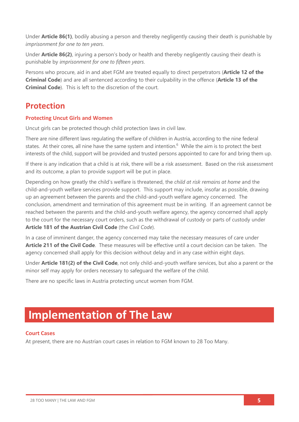Under **Article 86(1)**, bodily abusing a person and thereby negligently causing their death is punishable by *imprisonment for one to ten years*.

Under **Article 86(2)**, injuring a person's body or health and thereby negligently causing their death is punishable by *imprisonment for one to fifteen years*.

Persons who procure, aid in and abet FGM are treated equally to direct perpetrators (**Article 12 of the Criminal Code**) and are all sentenced according to their culpability in the offence (**Article 13 of the Criminal Code**). This is left to the discretion of the court.

### **Protection**

### **Protecting Uncut Girls and Women**

Uncut girls can be protected though child protection laws in civil law.

There are nine different laws regulating the welfare of children in Austria, according to the nine federal states. At their cores, all nine have the same system and intention.<sup>6</sup> While the aim is to protect the best interests of the child, support will be provided and trusted persons appointed to care for and bring them up.

If there is any indication that a child is at risk, there will be a risk assessment. Based on the risk assessment and its outcome, a plan to provide support will be put in place.

Depending on how greatly the child's welfare is threatened, the *child at risk remains at home* and the child-and-youth welfare services provide support. This support may include, insofar as possible, drawing up an agreement between the parents and the child-and-youth welfare agency concerned. The conclusion, amendment and termination of this agreement must be in writing. If an agreement cannot be reached between the parents and the child-and-youth welfare agency, the agency concerned shall apply to the court for the necessary court orders, such as the withdrawal of custody or parts of custody under **Article 181 of the Austrian Civil Code** (the *Civil Code*).

In a case of imminent danger, the agency concerned may take the necessary measures of care under **Article 211 of the Civil Code**. These measures will be effective until a court decision can be taken. The agency concerned shall apply for this decision without delay and in any case within eight days.

Under **Article 181(2) of the Civil Code**, not only child-and-youth welfare services, but also a parent or the minor self may apply for orders necessary to safeguard the welfare of the child.

There are no specific laws in Austria protecting uncut women from FGM.

# **Implementation of The Law**

### **Court Cases**

At present, there are no Austrian court cases in relation to FGM known to 28 Too Many.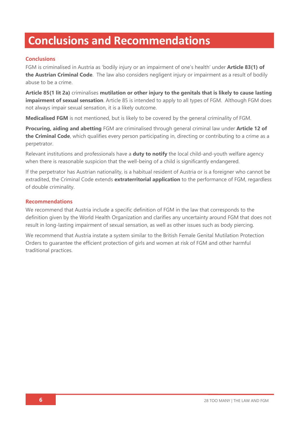# **Conclusions and Recommendations**

### **Conclusions**

FGM is criminalised in Austria as 'bodily injury or an impairment of one's health' under **Article 83(1) of the Austrian Criminal Code**. The law also considers negligent injury or impairment as a result of bodily abuse to be a crime.

**Article 85(1 lit 2a)** criminalises **mutilation or other injury to the genitals that is likely to cause lasting impairment of sexual sensation**. Article 85 is intended to apply to all types of FGM. Although FGM does not always impair sexual sensation, it is a likely outcome.

**Medicalised FGM** is not mentioned, but is likely to be covered by the general criminality of FGM.

**Procuring, aiding and abetting** FGM are criminalised through general criminal law under **Article 12 of the Criminal Code**, which qualifies every person participating in, directing or contributing to a crime as a perpetrator.

Relevant institutions and professionals have a **duty to notify** the local child-and-youth welfare agency when there is reasonable suspicion that the well-being of a child is significantly endangered.

If the perpetrator has Austrian nationality, is a habitual resident of Austria or is a foreigner who cannot be extradited, the Criminal Code extends **extraterritorial application** to the performance of FGM, regardless of double criminality.

### **Recommendations**

We recommend that Austria include a specific definition of FGM in the law that corresponds to the definition given by the World Health Organization and clarifies any uncertainty around FGM that does not result in long-lasting impairment of sexual sensation, as well as other issues such as body piercing.

We recommend that Austria instate a system similar to the British Female Genital Mutilation Protection Orders to guarantee the efficient protection of girls and women at risk of FGM and other harmful traditional practices.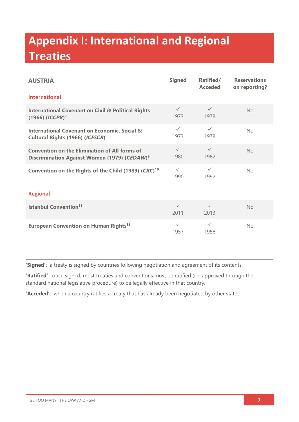# **Appendix I: International and Regional Treaties**

| <b>AUSTRIA</b>                                                                                                   | <b>Signed</b>        | Ratified/<br><b>Acceded</b> | <b>Reservations</b><br>on reporting? |  |  |
|------------------------------------------------------------------------------------------------------------------|----------------------|-----------------------------|--------------------------------------|--|--|
| <b>International</b>                                                                                             |                      |                             |                                      |  |  |
| <b>International Covenant on Civil &amp; Political Rights</b><br>$(1966)$ $(ICCPR)^7$                            | $\checkmark$<br>1973 | $\checkmark$<br>1978        | <b>No</b>                            |  |  |
| <b>International Covenant on Economic, Social &amp;</b><br>Cultural Rights (1966) (ICESCR) <sup>8</sup>          | $\checkmark$<br>1973 | $\checkmark$<br>1978        | No                                   |  |  |
| <b>Convention on the Elimination of All forms of</b><br>Discrimination Against Women (1979) (CEDAW) <sup>9</sup> | $\checkmark$<br>1980 | $\checkmark$<br>1982        | No                                   |  |  |
| Convention on the Rights of the Child (1989) (CRC) <sup>10</sup>                                                 | $\checkmark$<br>1990 | $\checkmark$<br>1992        | <b>No</b>                            |  |  |
| <b>Regional</b>                                                                                                  |                      |                             |                                      |  |  |
| <b>Istanbul Convention<sup>11</sup></b>                                                                          | $\checkmark$<br>2011 | $\checkmark$<br>2013        | <b>No</b>                            |  |  |
| European Convention on Human Rights <sup>12</sup>                                                                | $\checkmark$<br>1957 | $\checkmark$<br>1958        | No                                   |  |  |

**'Signed'**: a treaty is signed by countries following negotiation and agreement of its contents.

**'Ratified'**: once signed, most treaties and conventions must be ratified (i.e. approved through the standard national legislative procedure) to be legally effective in that country.

**'Acceded'**: when a country ratifies a treaty that has already been negotiated by other states.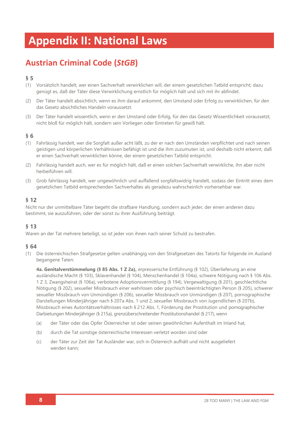# **Appendix II: National Laws**

## **Austrian Criminal Code (***StGB***)**

### **§ 5**

- (1) Vorsätzlich handelt, wer einen Sachverhalt verwirklichen will, der einem gesetzlichen Tatbild entspricht; dazu genügt es, daß der Täter diese Verwirklichung ernstlich für möglich hält und sich mit ihr abfindet.
- (2) Der Täter handelt absichtlich, wenn es ihm darauf ankommt, den Umstand oder Erfolg zu verwirklichen, für den das Gesetz absichtliches Handeln voraussetzt.
- (3) Der Täter handelt wissentlich, wenn er den Umstand oder Erfolg, für den das Gesetz Wissentlichkeit voraussetzt, nicht bloß für möglich hält, sondern sein Vorliegen oder Eintreten für gewiß hält.

### **§ 6**

- (1) Fahrlässig handelt, wer die Sorgfalt außer acht läßt, zu der er nach den Umständen verpflichtet und nach seinen geistigen und körperlichen Verhältnissen befähigt ist und die ihm zuzumuten ist, und deshalb nicht erkennt, daß er einen Sachverhalt verwirklichen könne, der einem gesetzlichen Tatbild entspricht.
- (2) Fahrlässig handelt auch, wer es für möglich hält, daß er einen solchen Sachverhalt verwirkliche, ihn aber nicht herbeiführen will.
- (3) Grob fahrlässig handelt, wer ungewöhnlich und auffallend sorgfaltswidrig handelt, sodass der Eintritt eines dem gesetzlichen Tatbild entsprechenden Sachverhaltes als geradezu wahrscheinlich vorhersehbar war.

### **§ 12**

Nicht nur der unmittelbare Täter begeht die strafbare Handlung, sondern auch jeder, der einen anderen dazu bestimmt, sie auszuführen, oder der sonst zu ihrer Ausführung beiträgt.

### **§ 13**

Waren an der Tat mehrere beteiligt, so ist jeder von ihnen nach seiner Schuld zu bestrafen.

### **§ 64**

(1) Die österreichischen Strafgesetze gelten unabhängig von den Strafgesetzen des Tatorts für folgende im Ausland begangene Taten:

**4a. Genitalverstümmelung (§ 85 Abs. 1 Z 2a),** erpresserische Entführung (§ 102), Überlieferung an eine ausländische Macht (§ 103), Sklavenhandel (§ 104), Menschenhandel (§ 104a), schwere Nötigung nach § 106 Abs. 1 Z 3, Zwangsheirat (§ 106a), verbotene Adoptionsvermittlung (§ 194), Vergewaltigung (§ 201), geschlechtliche Nötigung (§ 202), sexueller Missbrauch einer wehrlosen oder psychisch beeinträchtigten Person (§ 205), schwerer sexueller Missbrauch von Unmündigen (§ 206), sexueller Missbrauch von Unmündigen (§ 207), pornographische Darstellungen Minderjähriger nach § 207a Abs. 1 und 2, sexueller Missbrauch von Jugendlichen (§ 207b), Missbrauch eines Autoritätsverhältnisses nach § 212 Abs. 1, Förderung der Prostitution und pornographischer Darbietungen Minderjähriger (§ 215a), grenzüberschreitender Prostitutionshandel (§ 217), wenn

- (a) der Täter oder das Opfer Österreicher ist oder seinen gewöhnlichen Aufenthalt im Inland hat,
- (b) durch die Tat sonstige österreichische Interessen verletzt worden sind oder
- (c) der Täter zur Zeit der Tat Ausländer war, sich in Österreich aufhält und nicht ausgeliefert werden kann;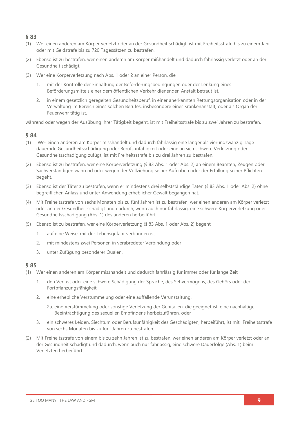### **§ 83**

- (1) Wer einen anderen am Körper verletzt oder an der Gesundheit schädigt, ist mit Freiheitsstrafe bis zu einem Jahr oder mit Geldstrafe bis zu 720 Tagessätzen zu bestrafen.
- (2) Ebenso ist zu bestrafen, wer einen anderen am Körper mißhandelt und dadurch fahrlässig verletzt oder an der Gesundheit schädigt.
- (3) Wer eine Körperverletzung nach Abs. 1 oder 2 an einer Person, die
	- 1. mit der Kontrolle der Einhaltung der Beförderungsbedingungen oder der Lenkung eines Beförderungsmittels einer dem öffentlichen Verkehr dienenden Anstalt betraut ist,
	- 2. in einem gesetzlich geregelten Gesundheitsberuf, in einer anerkannten Rettungsorganisation oder in der Verwaltung im Bereich eines solchen Berufes, insbesondere einer Krankenanstalt, oder als Organ der Feuerwehr tätig ist,

während oder wegen der Ausübung ihrer Tätigkeit begeht, ist mit Freiheitsstrafe bis zu zwei Jahren zu bestrafen.

### **§ 84**

- (1) Wer einen anderen am Körper misshandelt und dadurch fahrlässig eine länger als vierundzwanzig Tage dauernde Gesundheitsschädigung oder Berufsunfähigkeit oder eine an sich schwere Verletzung oder Gesundheitsschädigung zufügt, ist mit Freiheitsstrafe bis zu drei Jahren zu bestrafen.
- (2) Ebenso ist zu bestrafen, wer eine Körperverletzung (§ 83 Abs. 1 oder Abs. 2) an einem Beamten, Zeugen oder Sachverständigen während oder wegen der Vollziehung seiner Aufgaben oder der Erfüllung seiner Pflichten begeht.
- (3) Ebenso ist der Täter zu bestrafen, wenn er mindestens drei selbstständige Taten (§ 83 Abs. 1 oder Abs. 2) ohne begreiflichen Anlass und unter Anwendung erheblicher Gewalt begangen hat.
- (4) Mit Freiheitsstrafe von sechs Monaten bis zu fünf Jahren ist zu bestrafen, wer einen anderen am Körper verletzt oder an der Gesundheit schädigt und dadurch, wenn auch nur fahrlässig, eine schwere Körperverletzung oder Gesundheitsschädigung (Abs. 1) des anderen herbeiführt.
- (5) Ebenso ist zu bestrafen, wer eine Körperverletzung (§ 83 Abs. 1 oder Abs. 2) begeht
	- 1. auf eine Weise, mit der Lebensgefahr verbunden ist
	- 2. mit mindestens zwei Personen in verabredeter Verbindung oder
	- 3. unter Zufügung besonderer Qualen.

- (1) Wer einen anderen am Körper misshandelt und dadurch fahrlässig für immer oder für lange Zeit
	- 1. den Verlust oder eine schwere Schädigung der Sprache, des Sehvermögens, des Gehörs oder der Fortpflanzungsfähigkeit,
	- 2. eine erhebliche Verstümmelung oder eine auffallende Verunstaltung,
		- 2a. eine Verstümmelung oder sonstige Verletzung der Genitalien, die geeignet ist, eine nachhaltige Beeinträchtigung des sexuellen Empfindens herbeizuführen, oder
	- 3. ein schweres Leiden, Siechtum oder Berufsunfähigkeit des Geschädigten, herbeiführt, ist mit Freiheitsstrafe von sechs Monaten bis zu fünf Jahren zu bestrafen.
- (2) Mit Freiheitsstrafe von einem bis zu zehn Jahren ist zu bestrafen, wer einen anderen am Körper verletzt oder an der Gesundheit schädigt und dadurch, wenn auch nur fahrlässig, eine schwere Dauerfolge (Abs. 1) beim Verletzten herbeiführt.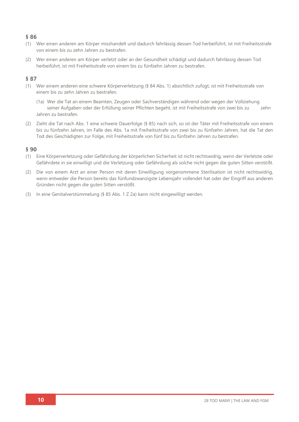### **§ 86**

- (1) Wer einen anderen am Körper misshandelt und dadurch fahrlässig dessen Tod herbeiführt, ist mit Freiheitsstrafe von einem bis zu zehn Jahren zu bestrafen.
- (2) Wer einen anderen am Körper verletzt oder an der Gesundheit schädigt und dadurch fahrlässig dessen Tod herbeiführt, ist mit Freiheitsstrafe von einem bis zu fünfzehn Jahren zu bestrafen.

### **§ 87**

- (1) Wer einem anderen eine schwere Körperverletzung (§ 84 Abs. 1) absichtlich zufügt, ist mit Freiheitsstrafe von einem bis zu zehn Jahren zu bestrafen.
	- (1a) Wer die Tat an einem Beamten, Zeugen oder Sachverständigen während oder wegen der Vollziehung seiner Aufgaben oder der Erfüllung seiner Pflichten begeht, ist mit Freiheitsstrafe von zwei bis zu zehn Jahren zu bestrafen.
- (2) Zieht die Tat nach Abs. 1 eine schwere Dauerfolge (§ 85) nach sich, so ist der Täter mit Freiheitsstrafe von einem bis zu fünfzehn Jahren, im Falle des Abs. 1a mit Freiheitsstrafe von zwei bis zu fünfzehn Jahren, hat die Tat den Tod des Geschädigten zur Folge, mit Freiheitsstrafe von fünf bis zu fünfzehn Jahren zu bestrafen.

- (1) Eine Körperverletzung oder Gefährdung der körperlichen Sicherheit ist nicht rechtswidrig, wenn der Verletzte oder Gefährdete in sie einwilligt und die Verletzung oder Gefährdung als solche nicht gegen die guten Sitten verstößt.
- (2) Die von einem Arzt an einer Person mit deren Einwilligung vorgenommene Sterilisation ist nicht rechtswidrig, wenn entweder die Person bereits das fünfundzwanzigste Lebensjahr vollendet hat oder der Eingriff aus anderen Gründen nicht gegen die guten Sitten verstößt.
- (3) In eine Genitalverstümmelung (§ 85 Abs. 1 Z 2a) kann nicht eingewilligt werden.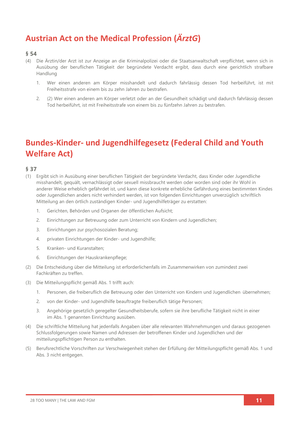## **Austrian Act on the Medical Profession (***ÄrztG***)**

#### **§ 54**

- (4) Die Ärztin/der Arzt ist zur Anzeige an die Kriminalpolizei oder die Staatsanwaltschaft verpflichtet, wenn sich in Ausübung der beruflichen Tätigkeit der begründete Verdacht ergibt, dass durch eine gerichtlich strafbare Handlung
	- 1. Wer einen anderen am Körper misshandelt und dadurch fahrlässig dessen Tod herbeiführt, ist mit Freiheitsstrafe von einem bis zu zehn Jahren zu bestrafen.
	- 2. (2) Wer einen anderen am Körper verletzt oder an der Gesundheit schädigt und dadurch fahrlässig dessen Tod herbeiführt, ist mit Freiheitsstrafe von einem bis zu fünfzehn Jahren zu bestrafen.

## **Bundes-Kinder- und Jugendhilfegesetz (Federal Child and Youth Welfare Act)**

- (1) Ergibt sich in Ausübung einer beruflichen Tätigkeit der begründete Verdacht, dass Kinder oder Jugendliche misshandelt, gequält, vernachlässigt oder sexuell missbraucht werden oder worden sind oder ihr Wohl in anderer Weise erheblich gefährdet ist, und kann diese konkrete erhebliche Gefährdung eines bestimmten Kindes oder Jugendlichen anders nicht verhindert werden, ist von folgenden Einrichtungen unverzüglich schriftlich Mitteilung an den örtlich zuständigen Kinder- und Jugendhilfeträger zu erstatten:
	- 1. Gerichten, Behörden und Organen der öffentlichen Aufsicht;
	- 2. Einrichtungen zur Betreuung oder zum Unterricht von Kindern und Jugendlichen;
	- 3. Einrichtungen zur psychosozialen Beratung;
	- 4. privaten Einrichtungen der Kinder- und Jugendhilfe;
	- 5. Kranken- und Kuranstalten;
	- 6. Einrichtungen der Hauskrankenpflege;
- (2) Die Entscheidung über die Mitteilung ist erforderlichenfalls im Zusammenwirken von zumindest zwei Fachkräften zu treffen.
- (3) Die Mitteilungspflicht gemäß Abs. 1 trifft auch:
	- 1. Personen, die freiberuflich die Betreuung oder den Unterricht von Kindern und Jugendlichen übernehmen;
	- 2. von der Kinder- und Jugendhilfe beauftragte freiberuflich tätige Personen;
	- 3. Angehörige gesetzlich geregelter Gesundheitsberufe, sofern sie ihre berufliche Tätigkeit nicht in einer im Abs. 1 genannten Einrichtung ausüben.
- (4) Die schriftliche Mitteilung hat jedenfalls Angaben über alle relevanten Wahrnehmungen und daraus gezogenen Schlussfolgerungen sowie Namen und Adressen der betroffenen Kinder und Jugendlichen und der mitteilungspflichtigen Person zu enthalten.
- (5) Berufsrechtliche Vorschriften zur Verschwiegenheit stehen der Erfüllung der Mitteilungspflicht gemäß Abs. 1 und Abs. 3 nicht entgegen.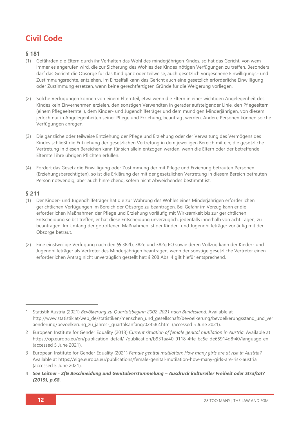## **Civil Code**

### **§ 181**

- (1) Gefährden die Eltern durch ihr Verhalten das Wohl des minderjährigen Kindes, so hat das Gericht, von wem immer es angerufen wird, die zur Sicherung des Wohles des Kindes nötigen Verfügungen zu treffen. Besonders darf das Gericht die Obsorge für das Kind ganz oder teilweise, auch gesetzlich vorgesehene Einwilligungs- und Zustimmungsrechte, entziehen. Im Einzelfall kann das Gericht auch eine gesetzlich erforderliche Einwilligung oder Zustimmung ersetzen, wenn keine gerechtfertigten Gründe für die Weigerung vorliegen.
- (2) Solche Verfügungen können von einem Elternteil, etwa wenn die Eltern in einer wichtigen Angelegenheit des Kindes kein Einvernehmen erzielen, den sonstigen Verwandten in gerader aufsteigender Linie, den Pflegeeltern (einem Pflegeelternteil), dem Kinder- und Jugendhilfeträger und dem mündigen Minderjährigen, von diesem jedoch nur in Angelegenheiten seiner Pflege und Erziehung, beantragt werden. Andere Personen können solche Verfügungen anregen.
- (3) Die gänzliche oder teilweise Entziehung der Pflege und Erziehung oder der Verwaltung des Vermögens des Kindes schließt die Entziehung der gesetzlichen Vertretung in dem jeweiligen Bereich mit ein; die gesetzliche Vertretung in diesen Bereichen kann für sich allein entzogen werden, wenn die Eltern oder der betreffende Elternteil ihre übrigen Pflichten erfüllen.
- (4) Fordert das Gesetz die Einwilligung oder Zustimmung der mit Pflege und Erziehung betrauten Personen (Erziehungsberechtigten), so ist die Erklärung der mit der gesetzlichen Vertretung in diesem Bereich betrauten Person notwendig, aber auch hinreichend, sofern nicht Abweichendes bestimmt ist.

- (1) Der Kinder- und Jugendhilfeträger hat die zur Wahrung des Wohles eines Minderjährigen erforderlichen gerichtlichen Verfügungen im Bereich der Obsorge zu beantragen. Bei Gefahr im Verzug kann er die erforderlichen Maßnahmen der Pflege und Erziehung vorläufig mit Wirksamkeit bis zur gerichtlichen Entscheidung selbst treffen; er hat diese Entscheidung unverzüglich, jedenfalls innerhalb von acht Tagen, zu beantragen. Im Umfang der getroffenen Maßnahmen ist der Kinder- und Jugendhilfeträger vorläufig mit der Obsorge betraut.
- (2) Eine einstweilige Verfügung nach den §§ 382b, 382e und 382g EO sowie deren Vollzug kann der Kinder- und Jugendhilfeträger als Vertreter des Minderjährigen beantragen, wenn der sonstige gesetzliche Vertreter einen erforderlichen Antrag nicht unverzüglich gestellt hat; § 208 Abs. 4 gilt hiefür entsprechend.

<sup>1</sup> Statistik Austria (2021) *Bevölkerung zu Quartalsbeginn 2002-2021 nach Bundesland*. Available at [http://www.statistik.at/web\\_de/statistiken/menschen\\_und\\_gesellschaft/bevoelkerung/bevoelkerungsstand\\_und\\_ver](http://www.statistik.at/web_de/statistiken/menschen_und_gesellschaft/bevoelkerung/bevoelkerungsstand_und_veraenderung/bevoelkerung_zu_jahres-_quartalsanfang/023582.html) [aenderung/bevoelkerung\\_zu\\_jahres-\\_quartalsanfang/023582.html](http://www.statistik.at/web_de/statistiken/menschen_und_gesellschaft/bevoelkerung/bevoelkerungsstand_und_veraenderung/bevoelkerung_zu_jahres-_quartalsanfang/023582.html) (accessed 5 June 2021).

<sup>2</sup> European Institute for Gender Equality (2013) *Current situation of female genital mutilation in Austria*. Available at <https://op.europa.eu/en/publication-detail/-/publication/b931aa40-9118-4ffe-bc5e-de65914d8f40/language-en> (accessed 5 June 2021).

<sup>3</sup> European Institute for Gender Equality (2021) *Female genital mutilation: How many girls are at risk in Austria?* Available at<https://eige.europa.eu/publications/female-genital-mutilation-how-many-girls-are-risk-austria> (accessed 5 June 2021).

<sup>4</sup> *See Leitner · ZfG Beschneidung und Genitalverstümmelung – Ausdruck kultureller Freiheit oder Straftat? (2019), p.68*.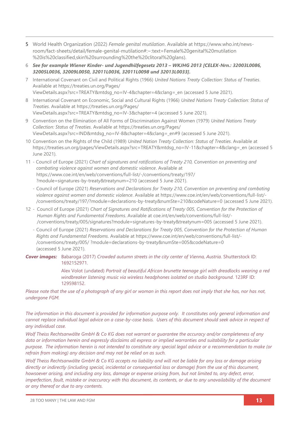- 5 World Health Organization (2022) *Female genital mutilation*. Available at [https://www.who.int/news](https://www.who.int/news-room/fact-sheets/detail/female-genital-mutilation#:~:text=Female%20genital%20mutilation%20is%20classified,skin%20surrounding%20the%20clitoral%20glans)[room/fact-sheets/detail/female-genital-mutilation#:~:text=Female%20genital%20mutilation](https://www.who.int/news-room/fact-sheets/detail/female-genital-mutilation#:~:text=Female%20genital%20mutilation%20is%20classified,skin%20surrounding%20the%20clitoral%20glans) [%20is%20classified,skin%20surrounding%20the%20clitoral%20glans\)](https://www.who.int/news-room/fact-sheets/detail/female-genital-mutilation#:~:text=Female%20genital%20mutilation%20is%20classified,skin%20surrounding%20the%20clitoral%20glans).
- 6 *See for example Wiener Kinder- und Jugendhilfegesetz 2013 – WKJHG 2013 [CELEX-Nrn.: 32003L0086, 32005L0036, 32009L0050, 32011L0036, 32011L0098 und 32013L0033].*
- 7 International Covenant on Civil and Political Rights (1966) *United Nations Treaty Collection: Status of Treaties*. Available at [https://treaties.un.org/Pages/](https://treaties.un.org/Pages/ViewDetails.aspx?src=TREATY&mtdsg_no=IV-4&chapter=4&clang=_en) [ViewDetails.aspx?src=TREATY&mtdsg\\_no=IV-4&chapter=4&clang=\\_en](https://treaties.un.org/Pages/ViewDetails.aspx?src=TREATY&mtdsg_no=IV-4&chapter=4&clang=_en) (accessed 5 June 2021).
- 8 International Covenant on Economic, Social and Cultural Rights (1966) *United Nations Treaty Collection: Status of Treaties*. Available at [https://treaties.un.org/Pages/](https://treaties.un.org/Pages/ViewDetails.aspx?src=TREATY&mtdsg_no=IV-3&chapter=4) [ViewDetails.aspx?src=TREATY&mtdsg\\_no=IV-3&chapter=4](https://treaties.un.org/Pages/ViewDetails.aspx?src=TREATY&mtdsg_no=IV-3&chapter=4) (accessed 5 June 2021).
- 9 Convention on the Elimination of All Forms of Discrimination Against Women (1979) *United Nations Treaty Collection: Status of Treaties*. Available at [https://treaties.un.org/Pages/](https://treaties.un.org/Pages/ViewDetails.aspx?src=IND&mtdsg_no=IV-8&chapter=4&clang=_en#9) [ViewDetails.aspx?src=IND&mtdsg\\_no=IV-8&chapter=4&clang=\\_en#9](https://treaties.un.org/Pages/ViewDetails.aspx?src=IND&mtdsg_no=IV-8&chapter=4&clang=_en#9) (accessed 5 June 2021).
- 10 Convention on the Rights of the Child (1989) *United Nation Treaty Collection: Status of Treaties*. Available at [https://treaties.un.org/pages/ViewDetails.aspx?src=TREATY&mtdsg\\_no=IV-11&chapter=4&clang=\\_en](https://treaties.un.org/pages/ViewDetails.aspx?src=TREATY&mtdsg_no=IV-11&chapter=4&clang=_en) (accessed 5 June 2021).
- 11 Council of Europe (2021) *Chart of signatures and ratifications of Treaty 210, Convention on preventing and combating violence against women and domestic violence*. Available at [https://www.coe.int/en/web/conventions/full-list/-/conventions/treaty/197/](https://www.coe.int/en/web/conventions/full-list/-/conventions/treaty/197/?module=signatures-by-treaty&treatynum=210) [?module=signatures-by-treaty&treatynum=210](https://www.coe.int/en/web/conventions/full-list/-/conventions/treaty/197/?module=signatures-by-treaty&treatynum=210) (accessed 5 June 2021).
	- Council of Europe (2021) *Reservations and Declarations for Treaty 210, Convention on preventing and combating violence against women and domestic violence*. Available at [https://www.coe.int/en/web/conventions/full-list/-](https://www.coe.int/en/web/conventions/full-list/-/conventions/treaty/197/?module=declarations-by-treaty&numSte=210&codeNature=0) [/conventions/treaty/197/?module=declarations-by-treaty&numSte=210&codeNature=0](https://www.coe.int/en/web/conventions/full-list/-/conventions/treaty/197/?module=declarations-by-treaty&numSte=210&codeNature=0) (accessed 5 June 2021).
- 12 Council of Europe (2021) *Chart of Signatures and Ratifications of Treaty 005, Convention for the Protection of Human Rights and Fundamental Freedoms*. Available at [coe.int/en/web/conventions/full-list/-](file://///System/Volumes/Data/Work%20files/28TooMany/28TM_EUReport%20Design/28TM_EUROPEReports/AUSTRIA/coe.int/en/web/conventions/full-list/-/conventions/treaty/005/signatures%253fmodule=signatures-by-treaty&treatynum=005) [/conventions/treaty/005/signatures?module=signatures-by-treaty&treatynum=005](file://///System/Volumes/Data/Work%20files/28TooMany/28TM_EUReport%20Design/28TM_EUROPEReports/AUSTRIA/coe.int/en/web/conventions/full-list/-/conventions/treaty/005/signatures%253fmodule=signatures-by-treaty&treatynum=005) (accessed 5 June 2021).
	- Council of Europe (2021) *Reservations and Declarations for Treaty 005, Convention for the Protection of Human Rights and Fundamental Freedoms*. Available at [https://www.coe.int/en/web/conventions/full-list/-](https://www.coe.int/en/web/conventions/full-list/-/conventions/treaty/005/%20?module=declarations-by-treaty&numSte=005&codeNature=0) [/conventions/treaty/005/ ?module=declarations-by-treaty&numSte=005&codeNature=0](https://www.coe.int/en/web/conventions/full-list/-/conventions/treaty/005/%20?module=declarations-by-treaty&numSte=005&codeNature=0) (accessed 5 June 2021).

### **Cover images:** Babaroga (2017) *Crowded autumn streets in the city center of Vienna, Austria. Shutterstock ID*: 1692152971.

Alex Volot (undated) *Portrait of beautiful African brunette teenage girl with dreadlocks wearing a red windbreaker listening music via wireless headphones isolated on studio background.* 123RF ID: 129598152.

*Please note that the use of a photograph of any girl or woman in this report does not imply that she has, nor has not, undergone FGM.*

*The information in this document is provided for information purpose only. It constitutes only general information and cannot replace individual legal advice on a case-by-case basis. Users of this document should seek advice in respect of any individual case.*

*Wolf Theiss Rechtsanwälte GmbH & Co KG does not warrant or guarantee the accuracy and/or completeness of any data or information herein and expressly disclaims all express or implied warranties and suitability for a particular purpose. The information herein is not intended to constitute any special legal advice or a recommendation to make (or refrain from making) any decision and may not be relied on as such.*

*Wolf Theiss Rechtsanwälte GmbH & Co KG accepts no liability and will not be liable for any loss or damage arising directly or indirectly (including special, incidental or consequential loss or damage) from the use of this document, howsoever arising, and including any loss, damage or expense arising from, but not limited to, any defect, error, imperfection, fault, mistake or inaccuracy with this document, its contents, or due to any unavailability of the document or any thereof or due to any contents.*